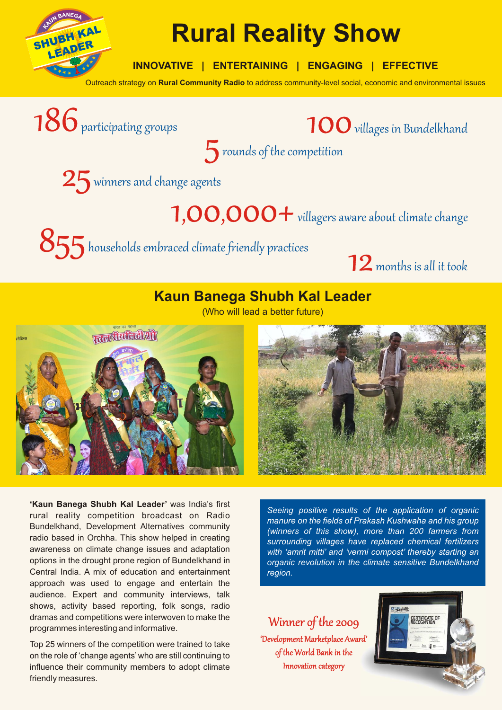

# **Rural Reality Show**

**INNOVATIVE | ENTERTAINING | ENGAGING | EFFECTIVE**

5rounds of the competition

Outreach strategy on **Rural Community Radio** to address community-level social, economic and environmental issues

186 participating groups 100 villages in Bundelkhand

 $25$  winners and change agents

1,00,000 + villagers aware about climate change

 $855$  households embraced climate friendly practices

 $12$  months is all it took

## **Kaun Banega Shubh Kal Leader**

(Who will lead a better future)



**'Kaun Banega Shubh Kal Leader'** was India's first rural reality competition broadcast on Radio Bundelkhand, Development Alternatives community radio based in Orchha. This show helped in creating awareness on climate change issues and adaptation options in the drought prone region of Bundelkhand in Central India. A mix of education and entertainment approach was used to engage and entertain the audience. Expert and community interviews, talk shows, activity based reporting, folk songs, radio dramas and competitions were interwoven to make the programmes interesting and informative.

Top 25 winners of the competition were trained to take on the role of 'change agents' who are still continuing to influence their community members to adopt climate friendly measures.

*Seeing positive results of the application of organic manure on the fields of Prakash Kushwaha and his group (winners of this show), more than 200 farmers from surrounding villages have replaced chemical fertilizers with 'amrit mitti' and 'vermi compost' thereby starting an organic revolution in the climate sensitive Bundelkhand region.* 

## Winner of the 2009

'Development Marketplace Award' of the World Bank in the Innovation category